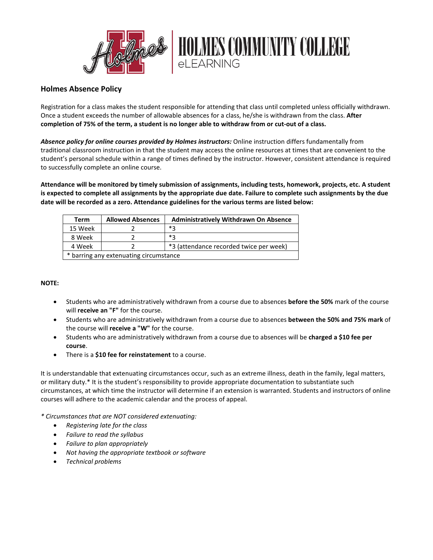

## **Holmes Absence Policy**

Registration for a class makes the student responsible for attending that class until completed unless officially withdrawn. Once a student exceeds the number of allowable absences for a class, he/she is withdrawn from the class. **After completion of 75% of the term, a student is no longer able to withdraw from or cut-out of a class.**

*Absence policy for online courses provided by Holmes instructors:* Online instruction differs fundamentally from traditional classroom instruction in that the student may access the online resources at times that are convenient to the student's personal schedule within a range of times defined by the instructor. However, consistent attendance is required to successfully complete an online course.

**Attendance will be monitored by timely submission of assignments, including tests, homework, projects, etc. A student is expected to complete all assignments by the appropriate due date. Failure to complete such assignments by the due date will be recorded as a zero. Attendance guidelines for the various terms are listed below:**

| Term                                   | <b>Allowed Absences</b> | <b>Administratively Withdrawn On Absence</b> |
|----------------------------------------|-------------------------|----------------------------------------------|
| 15 Week                                |                         | *2                                           |
| 8 Week                                 |                         | *2                                           |
| 4 Week                                 |                         | *3 (attendance recorded twice per week)      |
| * barring any extenuating circumstance |                         |                                              |

## **NOTE:**

- Students who are administratively withdrawn from a course due to absences **before the 50%** mark of the course will **receive an "F"** for the course.
- Students who are administratively withdrawn from a course due to absences **between the 50% and 75% mark** of the course will **receive a "W"** for the course.
- Students who are administratively withdrawn from a course due to absences will be **charged a \$10 fee per course**.
- There is a **\$10 fee for reinstatement** to a course.

It is understandable that extenuating circumstances occur, such as an extreme illness, death in the family, legal matters, or military duty.\* It is the student's responsibility to provide appropriate documentation to substantiate such circumstances, at which time the instructor will determine if an extension is warranted. Students and instructors of online courses will adhere to the academic calendar and the process of appeal.

*\* Circumstances that are NOT considered extenuating:*

- *Registering late for the class*
- *Failure to read the syllabus*
- *Failure to plan appropriately*
- *Not having the appropriate textbook or software*
- *Technical problems*